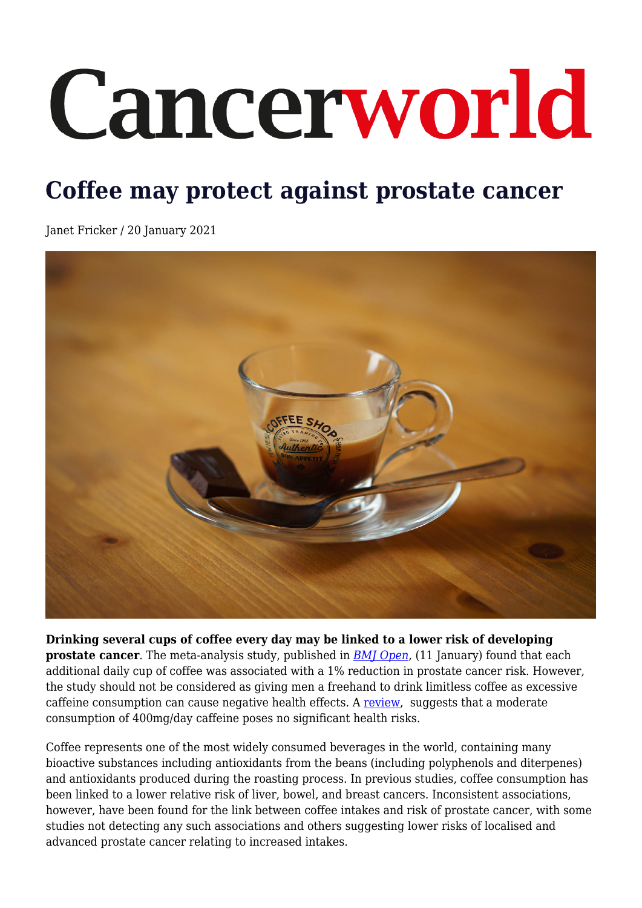## Cancerworld

## **Coffee may protect against prostate cancer**

Janet Fricker / 20 January 2021



**Drinking several cups of coffee every day may be linked to a lower risk of developing prostate cancer**. The meta-analysis study, published in *[BMJ Open](https://bmjopen.bmj.com/content/11/2/e038902)*, (11 January) found that each additional daily cup of coffee was associated with a 1% reduction in prostate cancer risk. However, the study should not be considered as giving men a freehand to drink limitless coffee as excessive caffeine consumption can cause negative health effects. A [review](https://onlinelibrary.wiley.com/doi/full/10.1111/j.1750-3841.2010.01561.x), suggests that a moderate consumption of 400mg/day caffeine poses no significant health risks.

Coffee represents one of the most widely consumed beverages in the world, containing many bioactive substances including antioxidants from the beans (including polyphenols and diterpenes) and antioxidants produced during the roasting process. In previous studies, coffee consumption has been linked to a lower relative risk of liver, bowel, and breast cancers. Inconsistent associations, however, have been found for the link between coffee intakes and risk of prostate cancer, with some studies not detecting any such associations and others suggesting lower risks of localised and advanced prostate cancer relating to increased intakes.